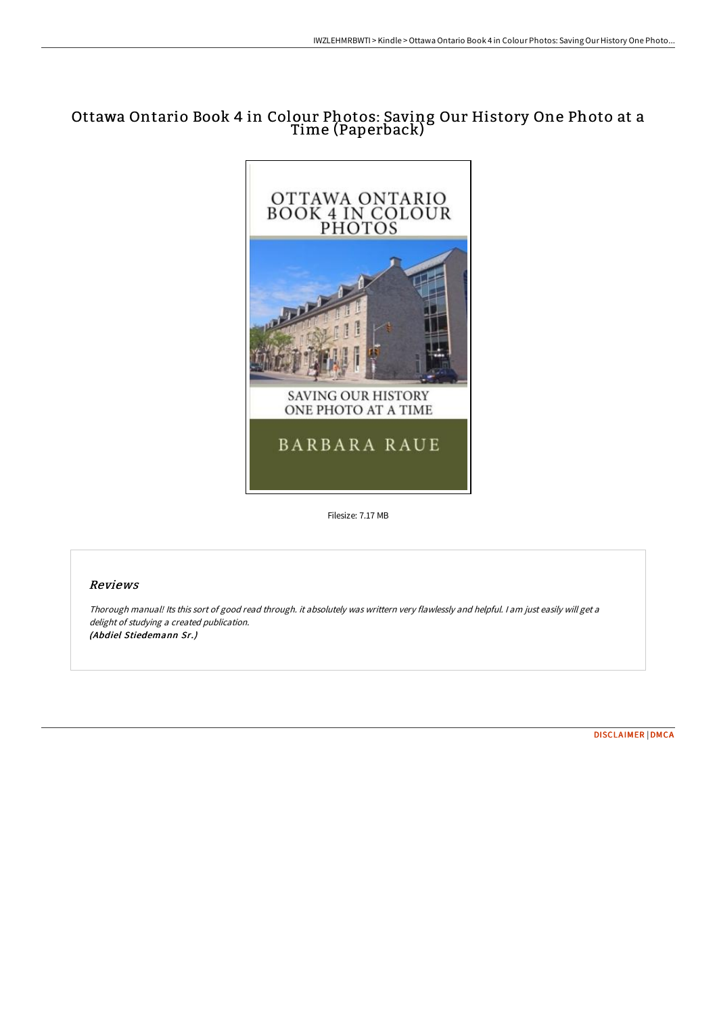# Ottawa Ontario Book 4 in Colour Photos: Saving Our History One Photo at a Time (Paperback)



Filesize: 7.17 MB

## Reviews

Thorough manual! Its this sort of good read through. it absolutely was writtern very flawlessly and helpful. <sup>I</sup> am just easily will get <sup>a</sup> delight of studying <sup>a</sup> created publication. (Abdiel Stiedemann Sr.)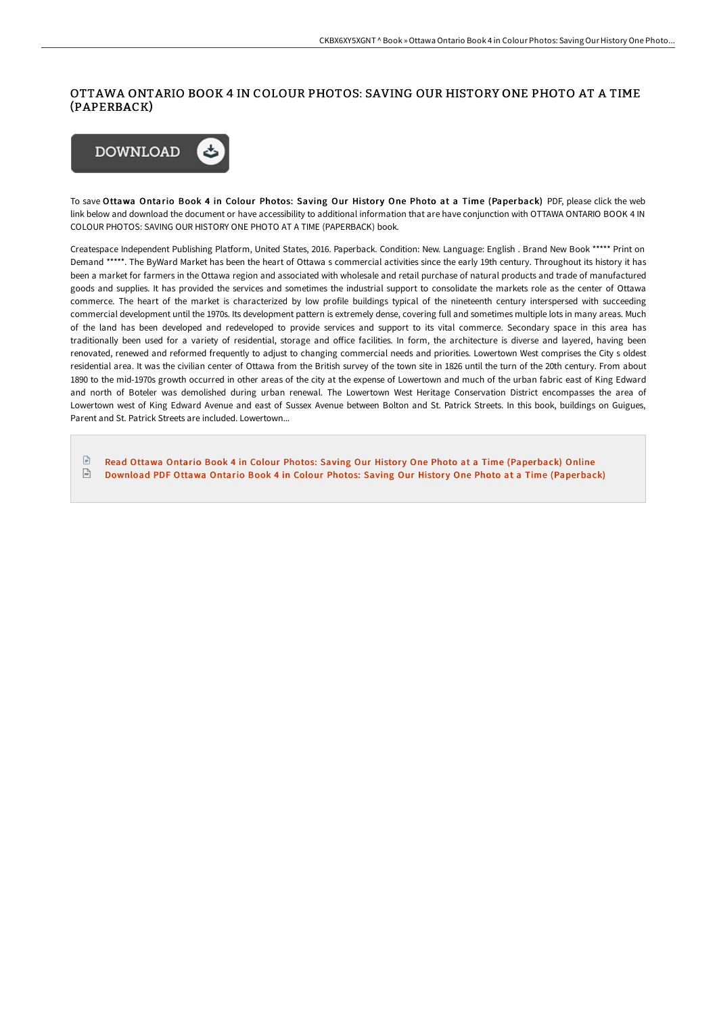# OTTAWA ONTARIO BOOK 4 IN COLOUR PHOTOS: SAVING OUR HISTORY ONE PHOTO AT A TIME (PAPERBACK)



To save Ottawa Ontario Book 4 in Colour Photos: Saving Our History One Photo at a Time (Paperback) PDF, please click the web link below and download the document or have accessibility to additional information that are have conjunction with OTTAWA ONTARIO BOOK 4 IN COLOUR PHOTOS: SAVING OUR HISTORY ONE PHOTO AT A TIME (PAPERBACK) book.

Createspace Independent Publishing Platform, United States, 2016. Paperback. Condition: New. Language: English . Brand New Book \*\*\*\*\* Print on Demand \*\*\*\*\*. The ByWard Market has been the heart of Ottawa s commercial activities since the early 19th century. Throughout its history it has been a market for farmers in the Ottawa region and associated with wholesale and retail purchase of natural products and trade of manufactured goods and supplies. It has provided the services and sometimes the industrial support to consolidate the markets role as the center of Ottawa commerce. The heart of the market is characterized by low profile buildings typical of the nineteenth century interspersed with succeeding commercial development until the 1970s. Its development pattern is extremely dense, covering full and sometimes multiple lots in many areas. Much of the land has been developed and redeveloped to provide services and support to its vital commerce. Secondary space in this area has traditionally been used for a variety of residential, storage and oFice facilities. In form, the architecture is diverse and layered, having been renovated, renewed and reformed frequently to adjust to changing commercial needs and priorities. Lowertown West comprises the City s oldest residential area. It was the civilian center of Ottawa from the British survey of the town site in 1826 until the turn of the 20th century. From about 1890 to the mid-1970s growth occurred in other areas of the city at the expense of Lowertown and much of the urban fabric east of King Edward and north of Boteler was demolished during urban renewal. The Lowertown West Heritage Conservation District encompasses the area of Lowertown west of King Edward Avenue and east of Sussex Avenue between Bolton and St. Patrick Streets. In this book, buildings on Guigues, Parent and St. Patrick Streets are included. Lowertown...

 $\mathbb{R}$ Read Ottawa Ontario Book 4 in Colour Photos: Saving Our History One Photo at a Time [\(Paperback\)](http://albedo.media/ottawa-ontario-book-4-in-colour-photos-saving-ou.html) Online  $\sqrt{m}$ Download PDF Ottawa Ontario Book 4 in Colour Photos: Saving Our History One Photo at a Time [\(Paperback\)](http://albedo.media/ottawa-ontario-book-4-in-colour-photos-saving-ou.html)